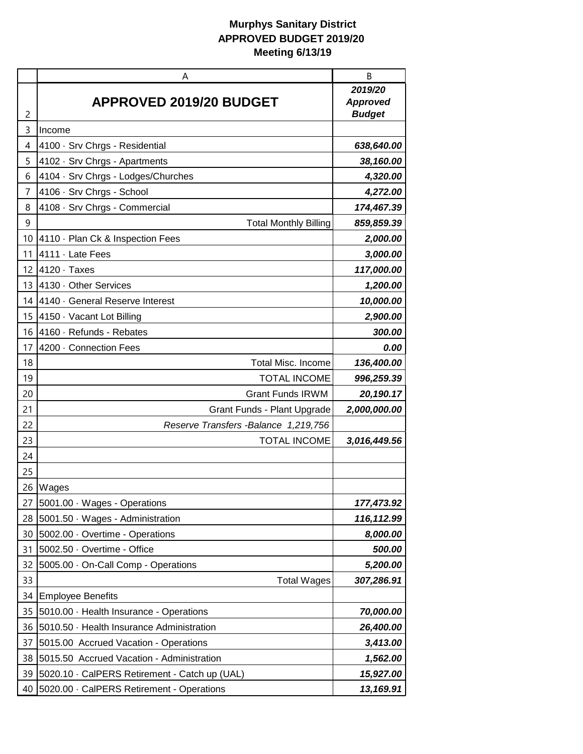|    | Α                                             | B                                |
|----|-----------------------------------------------|----------------------------------|
|    |                                               | 2019/20                          |
| 2  | APPROVED 2019/20 BUDGET                       | <b>Approved</b><br><b>Budget</b> |
| 3  | Income                                        |                                  |
| 4  | 4100 · Srv Chrgs - Residential                | 638,640.00                       |
| 5  | 4102 · Srv Chrgs - Apartments                 | 38,160.00                        |
| 6  | 4104 · Srv Chrgs - Lodges/Churches            | 4,320.00                         |
| 7  | 4106 · Srv Chrgs - School                     | 4,272.00                         |
| 8  | 4108 · Srv Chrgs - Commercial                 | 174,467.39                       |
| 9  | <b>Total Monthly Billing</b>                  | 859,859.39                       |
| 10 | 4110 · Plan Ck & Inspection Fees              | 2,000.00                         |
| 11 | 4111 · Late Fees                              | 3,000.00                         |
| 12 | $4120 \cdot$ Taxes                            | 117,000.00                       |
| 13 | 4130 · Other Services                         | 1,200.00                         |
| 14 | 4140 · General Reserve Interest               | 10,000.00                        |
| 15 | 4150 · Vacant Lot Billing                     | 2,900.00                         |
| 16 | 4160 · Refunds - Rebates                      | 300.00                           |
| 17 | 4200 · Connection Fees                        | 0.00                             |
| 18 | <b>Total Misc. Income</b>                     | 136,400.00                       |
| 19 | <b>TOTAL INCOME</b>                           | 996,259.39                       |
| 20 | <b>Grant Funds IRWM</b>                       | 20,190.17                        |
| 21 | Grant Funds - Plant Upgrade                   | 2,000,000.00                     |
| 22 | Reserve Transfers - Balance 1,219,756         |                                  |
| 23 | <b>TOTAL INCOME</b>                           | 3,016,449.56                     |
| 24 |                                               |                                  |
| 25 |                                               |                                  |
| 26 | Wages                                         |                                  |
| 27 | 5001.00 · Wages - Operations                  | 177,473.92                       |
| 28 | 5001.50 · Wages - Administration              | 116,112.99                       |
| 30 | 5002.00 · Overtime - Operations               | 8,000.00                         |
| 31 | 5002.50 · Overtime - Office                   | 500.00                           |
| 32 | 5005.00 · On-Call Comp - Operations           | 5,200.00                         |
| 33 | <b>Total Wages</b>                            | 307,286.91                       |
| 34 | <b>Employee Benefits</b>                      |                                  |
| 35 | 5010.00 · Health Insurance - Operations       | 70,000.00                        |
| 36 | 5010.50 · Health Insurance Administration     | 26,400.00                        |
| 37 | 5015.00 Accrued Vacation - Operations         | 3,413.00                         |
| 38 | 5015.50 Accrued Vacation - Administration     | 1,562.00                         |
| 39 | 5020.10 · CalPERS Retirement - Catch up (UAL) | 15,927.00                        |
| 40 | 5020.00 · CalPERS Retirement - Operations     | 13,169.91                        |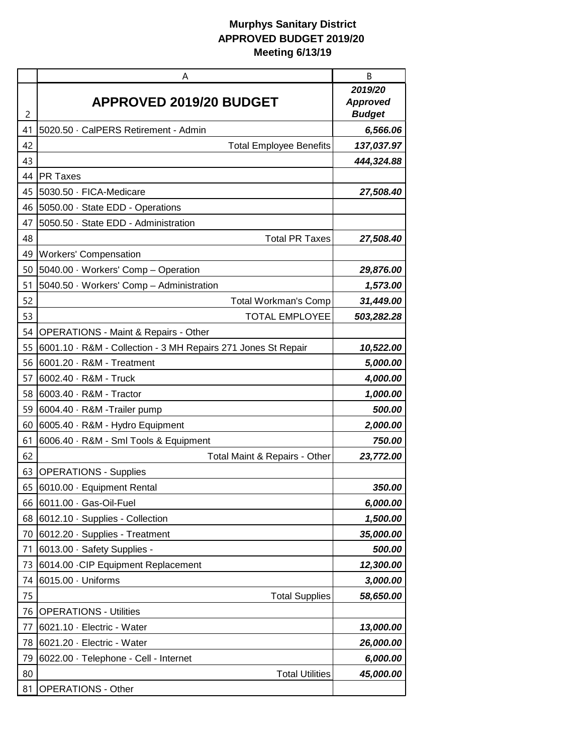|    | A                                                             | B                                           |
|----|---------------------------------------------------------------|---------------------------------------------|
| 2  | <b>APPROVED 2019/20 BUDGET</b>                                | 2019/20<br><b>Approved</b><br><b>Budget</b> |
| 41 | 5020.50 · CalPERS Retirement - Admin                          | 6,566.06                                    |
| 42 | <b>Total Employee Benefits</b>                                | 137,037.97                                  |
| 43 |                                                               | 444,324.88                                  |
| 44 | <b>PR Taxes</b>                                               |                                             |
| 45 | 5030.50 · FICA-Medicare                                       | 27,508.40                                   |
| 46 | 5050.00 · State EDD - Operations                              |                                             |
| 47 | 5050.50 · State EDD - Administration                          |                                             |
| 48 | <b>Total PR Taxes</b>                                         | 27,508.40                                   |
| 49 | <b>Workers' Compensation</b>                                  |                                             |
| 50 | 5040.00 · Workers' Comp - Operation                           | 29,876.00                                   |
| 51 | 5040.50 · Workers' Comp - Administration                      | 1,573.00                                    |
| 52 | <b>Total Workman's Comp</b>                                   | 31,449.00                                   |
| 53 | <b>TOTAL EMPLOYEE</b>                                         | 503,282.28                                  |
| 54 | <b>OPERATIONS - Maint &amp; Repairs - Other</b>               |                                             |
| 55 | 6001.10 · R&M - Collection - 3 MH Repairs 271 Jones St Repair | 10,522.00                                   |
| 56 | 6001.20 · R&M - Treatment                                     | 5,000.00                                    |
| 57 | 6002.40 · R&M - Truck                                         | 4,000.00                                    |
| 58 | 6003.40 · R&M - Tractor                                       | 1,000.00                                    |
| 59 | 6004.40 · R&M -Trailer pump                                   | 500.00                                      |
| 60 | 6005.40 · R&M - Hydro Equipment                               | 2,000.00                                    |
| 61 | 6006.40 · R&M - Sml Tools & Equipment                         | 750.00                                      |
| 62 | Total Maint & Repairs - Other                                 | 23,772.00                                   |
| 63 | <b>OPERATIONS - Supplies</b>                                  |                                             |
| 65 | 6010.00 · Equipment Rental                                    | 350.00                                      |
| 66 | 6011.00 · Gas-Oil-Fuel                                        | 6,000.00                                    |
| 68 | 6012.10 · Supplies - Collection                               | 1,500.00                                    |
| 70 | 6012.20 · Supplies - Treatment                                | 35,000.00                                   |
| 71 | 6013.00 · Safety Supplies -                                   | 500.00                                      |
| 73 | 6014.00 · CIP Equipment Replacement                           | 12,300.00                                   |
| 74 | 6015.00 · Uniforms                                            | 3,000.00                                    |
| 75 | <b>Total Supplies</b>                                         | 58,650.00                                   |
| 76 | <b>OPERATIONS - Utilities</b>                                 |                                             |
| 77 | 6021.10 · Electric - Water                                    | 13,000.00                                   |
| 78 | 6021.20 · Electric - Water                                    | 26,000.00                                   |
| 79 | 6022.00 · Telephone - Cell - Internet                         | 6,000.00                                    |
| 80 | <b>Total Utilities</b>                                        | 45,000.00                                   |
| 81 | <b>OPERATIONS - Other</b>                                     |                                             |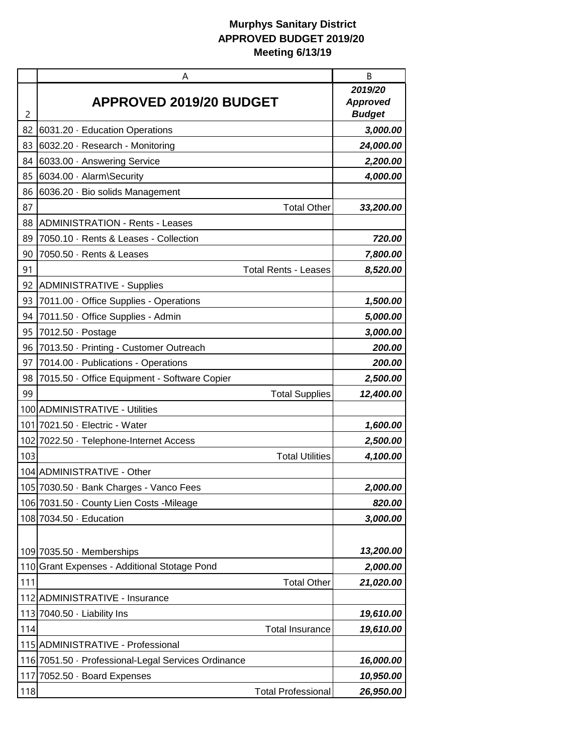|     | A                                                   | B                                           |
|-----|-----------------------------------------------------|---------------------------------------------|
| 2   | <b>APPROVED 2019/20 BUDGET</b>                      | 2019/20<br><b>Approved</b><br><b>Budget</b> |
| 82  | 6031.20 · Education Operations                      | 3,000.00                                    |
| 83  | 6032.20 · Research - Monitoring                     | 24,000.00                                   |
| 84  | 6033.00 · Answering Service                         | 2,200.00                                    |
| 85  | 6034.00 · Alarm\Security                            | 4,000.00                                    |
| 86  | 6036.20 · Bio solids Management                     |                                             |
| 87  | <b>Total Other</b>                                  | 33,200.00                                   |
| 88  | <b>ADMINISTRATION - Rents - Leases</b>              |                                             |
| 89  | 7050.10 · Rents & Leases - Collection               | 720.00                                      |
| 90  | 7050.50 · Rents & Leases                            | 7,800.00                                    |
| 91  | <b>Total Rents - Leases</b>                         | 8,520.00                                    |
| 92  | <b>ADMINISTRATIVE - Supplies</b>                    |                                             |
| 93  | 7011.00 · Office Supplies - Operations              | 1,500.00                                    |
| 94  | 7011.50 · Office Supplies - Admin                   | 5,000.00                                    |
| 95  | 7012.50 · Postage                                   | 3,000.00                                    |
| 96  | 7013.50 · Printing - Customer Outreach              | 200.00                                      |
| 97  | 7014.00 · Publications - Operations                 | 200.00                                      |
| 98  | 7015.50 · Office Equipment - Software Copier        | 2,500.00                                    |
| 99  | <b>Total Supplies</b>                               | 12,400.00                                   |
|     | 100 ADMINISTRATIVE - Utilities                      |                                             |
| 101 | 7021.50 · Electric - Water                          | 1,600.00                                    |
|     | 102 7022.50 · Telephone-Internet Access             | 2,500.00                                    |
| 103 | <b>Total Utilities</b>                              | 4,100.00                                    |
|     | 104 ADMINISTRATIVE - Other                          |                                             |
|     | 105 7030.50 · Bank Charges - Vanco Fees             | 2,000.00                                    |
|     | 106 7031.50 · County Lien Costs - Mileage           | 820.00                                      |
|     | 108 7034.50 · Education                             | 3,000.00                                    |
|     |                                                     |                                             |
|     | 109 7035.50 Memberships                             | 13,200.00                                   |
| 110 | Grant Expenses - Additional Stotage Pond            | 2,000.00                                    |
| 111 | <b>Total Other</b>                                  | 21,020.00                                   |
|     | 112 ADMINISTRATIVE - Insurance                      |                                             |
|     | 113 7040.50 Liability Ins                           | 19,610.00                                   |
| 114 | <b>Total Insurance</b>                              | 19,610.00                                   |
|     | 115 ADMINISTRATIVE - Professional                   |                                             |
|     | 116 7051.50 · Professional-Legal Services Ordinance | 16,000.00                                   |
|     | 117 7052.50 · Board Expenses                        | 10,950.00                                   |
| 118 | <b>Total Professional</b>                           | 26,950.00                                   |